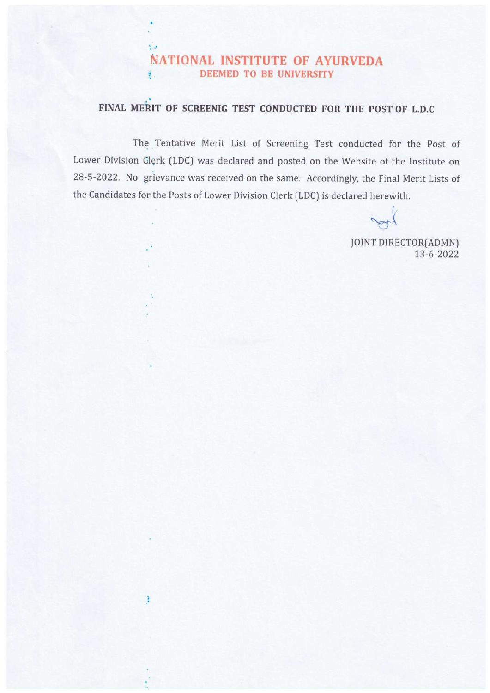## NATIONAL INSTITUTE OF AYURVEDA **7 DEEMED TO BE UNIVERSITY**

 $\mathcal{N}(\mathcal{A})$ 

ŧ

## FINAL MERIT OF SCREENIG TEST CONDUCTED FOR THE POST OF L.D.C

The Tentative Merit List of Screening Test conducted for the Post of Lower Division Clerk (LDC) was declared and posted on the Website of the Institute on 28-5-2022. No grievance was received on the same. Accordingly, the Final Merit Lists of the Candidates for the Posts of Lower Division Clerk (LDC) is declared herewith.

Nok

JOINT DIRECTOR(ADMN) 13-6-2022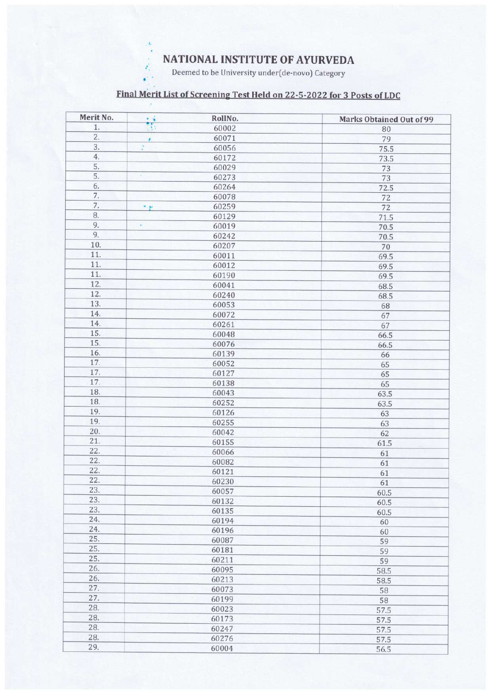**NATIONAL INSTITUTE OF AYURVEDA** 

Deemed to be University under(de-novo) Category

۸,

## Final Merit List of Screening Test Held on 22-5-2022 for 3 Posts of LDC

| 80<br>79<br>75.5<br>73.5<br>73<br>73<br>72.5<br>72<br>72<br>71.5<br>70.5<br>70.5<br>70<br>69.5<br>69.5<br>69.5<br>68.5<br>68.5<br>68<br>67 |
|--------------------------------------------------------------------------------------------------------------------------------------------|
|                                                                                                                                            |
|                                                                                                                                            |
|                                                                                                                                            |
|                                                                                                                                            |
|                                                                                                                                            |
|                                                                                                                                            |
|                                                                                                                                            |
|                                                                                                                                            |
|                                                                                                                                            |
|                                                                                                                                            |
|                                                                                                                                            |
|                                                                                                                                            |
|                                                                                                                                            |
|                                                                                                                                            |
|                                                                                                                                            |
|                                                                                                                                            |
|                                                                                                                                            |
|                                                                                                                                            |
|                                                                                                                                            |
|                                                                                                                                            |
| 67                                                                                                                                         |
|                                                                                                                                            |
| 66.5                                                                                                                                       |
| 66.5                                                                                                                                       |
| 66                                                                                                                                         |
| 65                                                                                                                                         |
| 65                                                                                                                                         |
| 65                                                                                                                                         |
| 63.5                                                                                                                                       |
| 63.5                                                                                                                                       |
| 63                                                                                                                                         |
| 63                                                                                                                                         |
| 62                                                                                                                                         |
| 61.5                                                                                                                                       |
| 61                                                                                                                                         |
| 61                                                                                                                                         |
| 61                                                                                                                                         |
| 61                                                                                                                                         |
| 60.5                                                                                                                                       |
| 60.5                                                                                                                                       |
| 60.5                                                                                                                                       |
| 60                                                                                                                                         |
| 60                                                                                                                                         |
| 59                                                                                                                                         |
| 59                                                                                                                                         |
| 59                                                                                                                                         |
| 58.5                                                                                                                                       |
| 58.5                                                                                                                                       |
| 58                                                                                                                                         |
| 58                                                                                                                                         |
| 57.5                                                                                                                                       |
| 57.5                                                                                                                                       |
| 57.5                                                                                                                                       |
| 57.5                                                                                                                                       |
| 56.5                                                                                                                                       |
|                                                                                                                                            |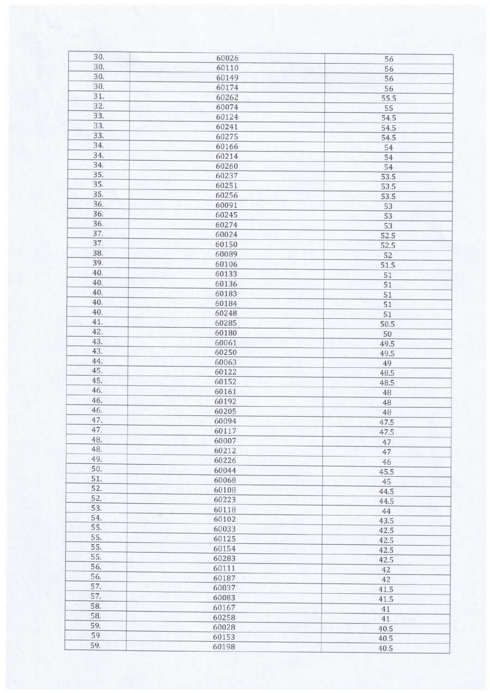| 30. | 60026 | 56         |
|-----|-------|------------|
| 30. | 60110 | 56         |
| 30. | 60149 | 56         |
| 30. | 60174 | 56         |
| 31. | 60262 | 55.5       |
| 32. | 60074 | 55         |
| 33. | 60124 | 54.5       |
| 33. | 60241 | 54.5       |
| 33. | 60275 |            |
| 34. | 60166 | 54.5<br>54 |
| 34. | 60214 |            |
| 34. | 60260 | 54         |
| 35. | 60237 | 54         |
| 35. | 60251 | 53.5       |
| 35. | 60256 | 53.5       |
| 36. | 60091 | 53.5       |
| 36. | 60245 | 53         |
| 36. | 60274 | 53         |
| 37. |       | 53         |
| 37. | 60024 | 52.5       |
| 38. | 60150 | 52.5       |
|     | 60089 | 52         |
| 39. | 60106 | 51.5       |
| 40. | 60133 | 51         |
| 40. | 60136 | 51         |
| 40. | 60183 | 51         |
| 40. | 60184 | 51         |
| 40. | 60248 | 51         |
| 41. | 60285 | 50.5       |
| 42. | 60180 | 50         |
| 43. | 60061 | 49.5       |
| 43. | 60250 | 49.5       |
| 44. | 60063 | 49         |
| 45. | 60122 | 48.5       |
| 45. | 60152 | 48.5       |
| 46. | 60161 | 48         |
| 46. | 60192 | 48         |
| 46. | 60205 | 48         |
| 47. | 60094 | 47.5       |
| 47. | 60117 | 47.5       |
| 48. | 60007 | 47         |
| 48. | 60212 | 47         |
| 49. | 60226 | 46         |
| 50. | 60044 | 45.5       |
| 51. | 60068 | 45         |
| 52. | 60108 | 44.5       |
| 52. | 60223 | 44.5       |
| 53. | 60118 | 44         |
| 54. | 60102 | 43.5       |
| 55. | 60033 | 42.5       |
| 55. | 60125 | 42.5       |
| 55. | 60154 | 42.5       |
| 55. | 60283 | 42.5       |
| 56. | 60111 | 42         |
| 56. | 60187 | 42         |
| 57. | 60037 | 41.5       |
| 57. | 60083 | 41.5       |
| 58. | 60167 | 41         |
| 58. | 60258 | 41         |
| 59. | 60028 | 40.5       |
| 59  | 60153 | 40.5       |
| 59. | 60198 | 40.5       |
|     |       |            |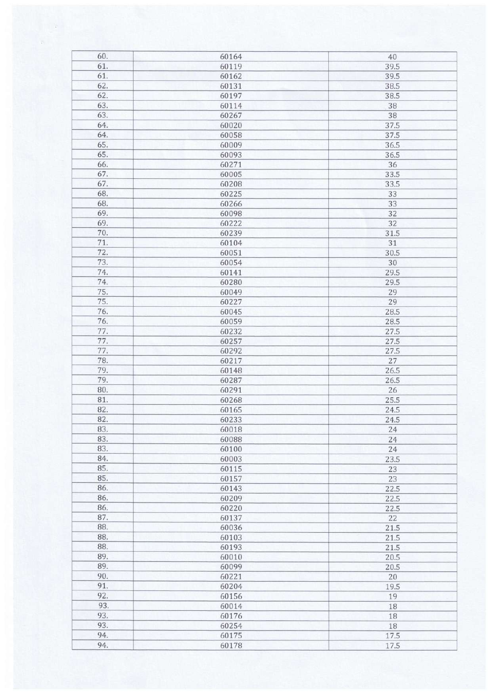| 60. | 60164 | 40   |
|-----|-------|------|
| 61. | 60119 | 39.5 |
| 61. | 60162 | 39.5 |
| 62. | 60131 | 38.5 |
| 62. | 60197 | 38.5 |
| 63. | 60114 | 38   |
| 63. | 60267 | 38   |
| 64. | 60020 | 37.5 |
| 64. | 60058 | 37.5 |
| 65. |       |      |
| 65. | 60009 | 36.5 |
|     | 60093 | 36.5 |
| 66. | 60271 | 36   |
| 67. | 60005 | 33.5 |
| 67. | 60208 | 33.5 |
| 68. | 60225 | 33   |
| 68. | 60266 | 33   |
| 69. | 60098 | 32   |
| 69. | 60222 | 32   |
| 70. | 60239 | 31.5 |
| 71. | 60104 | 31   |
| 72. | 60051 | 30.5 |
| 73. | 60054 | 30   |
| 74. | 60141 | 29.5 |
| 74. | 60280 | 29.5 |
| 75. | 60049 | 29   |
| 75. | 60227 | 29   |
| 76. | 60045 | 28.5 |
| 76. | 60059 | 28.5 |
| 77. | 60232 | 27.5 |
| 77. | 60257 | 27.5 |
| 77. | 60292 | 27.5 |
| 78. | 60217 | 27   |
| 79. | 60148 | 26.5 |
| 79. | 60287 | 26.5 |
| 80. |       |      |
|     | 60291 | 26   |
| 81. | 60268 | 25.5 |
| 82. | 60165 | 24.5 |
| 82. | 60233 | 24.5 |
| 83. | 60018 | 24   |
| 83. | 60088 | 24   |
| 83. | 60100 | 24   |
| 84. | 60003 | 23.5 |
| 85. | 60115 | 23   |
| 85. | 60157 | 23   |
| 86. | 60143 | 22.5 |
| 86. | 60209 | 22.5 |
| 86. | 60220 | 22.5 |
| 87. | 60137 | 22   |
| 88. | 60036 | 21.5 |
| 88. | 60103 | 21.5 |
| 88. | 60193 | 21.5 |
| 89. | 60010 | 20.5 |
| 89. | 60099 | 20.5 |
| 90. | 60221 | 20   |
| 91. | 60204 | 19.5 |
| 92. |       |      |
| 93. | 60156 | 19   |
|     | 60014 | 18   |
| 93. | 60176 | 18   |
| 93. | 60254 | 18   |
| 94. | 60175 | 17.5 |
| 94. | 60178 | 17.5 |